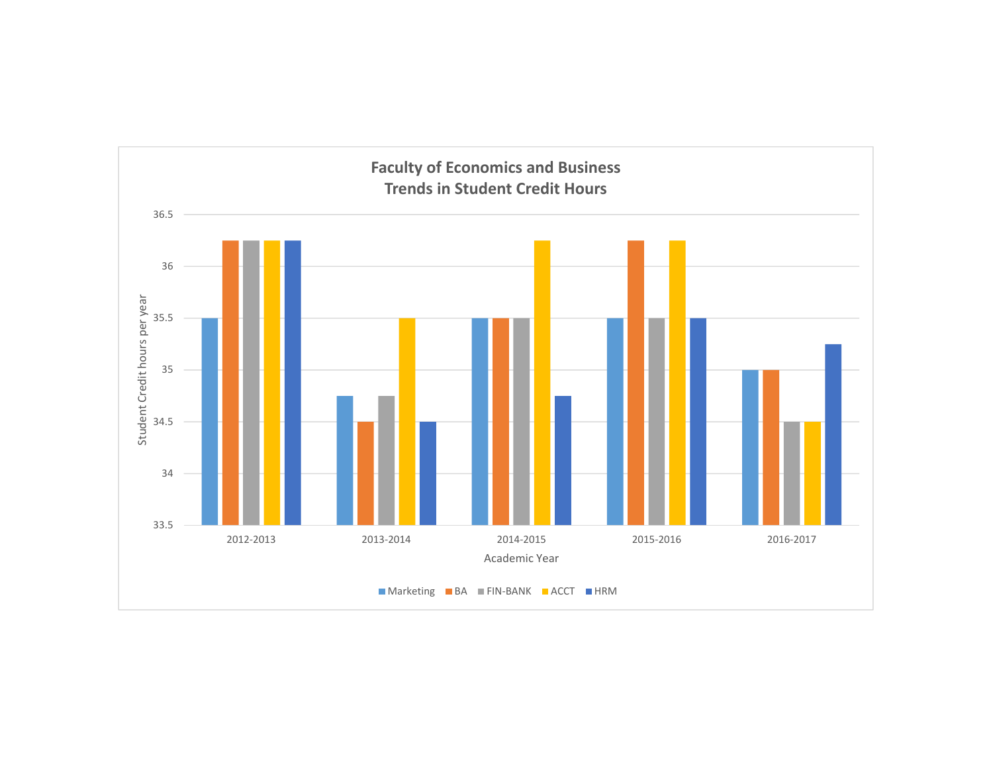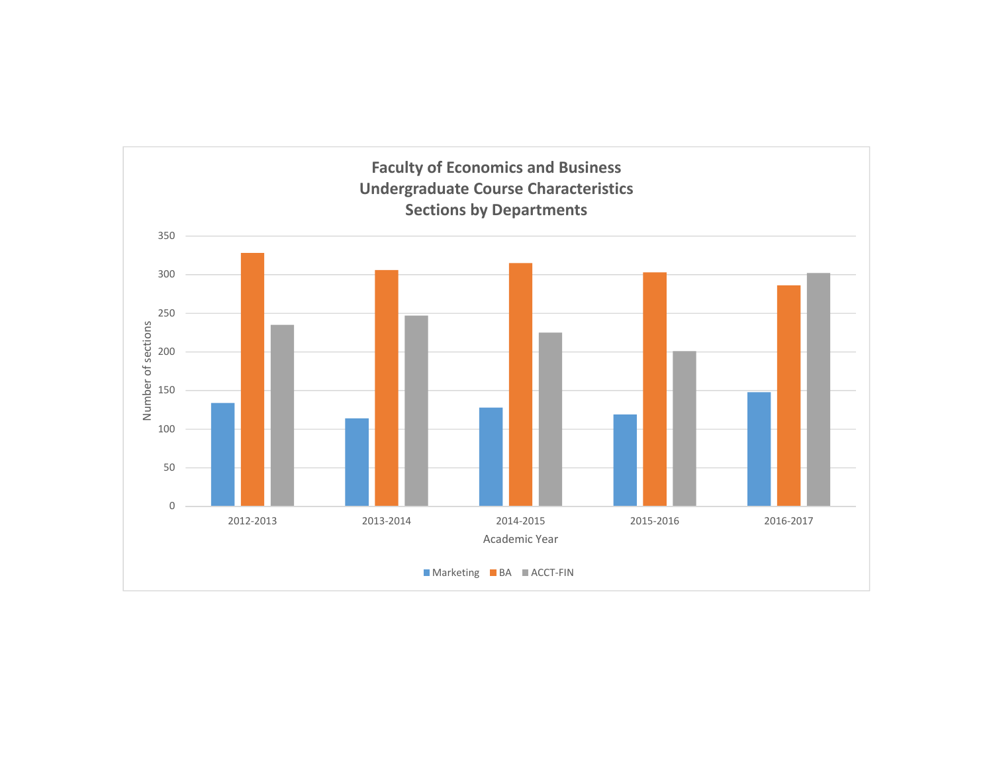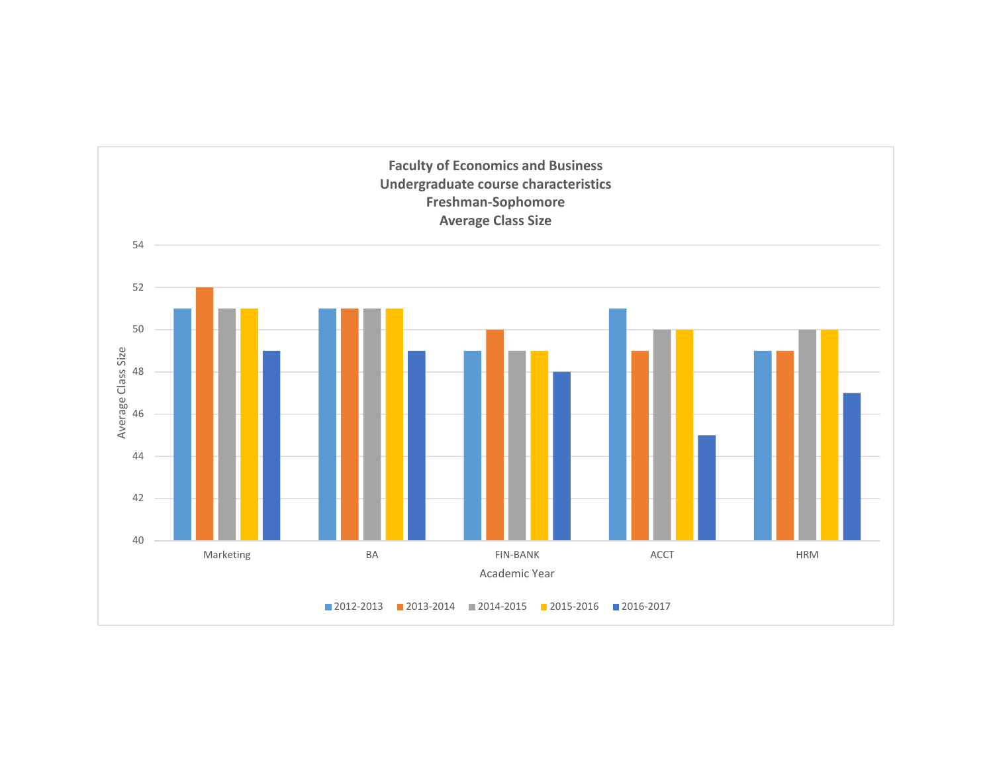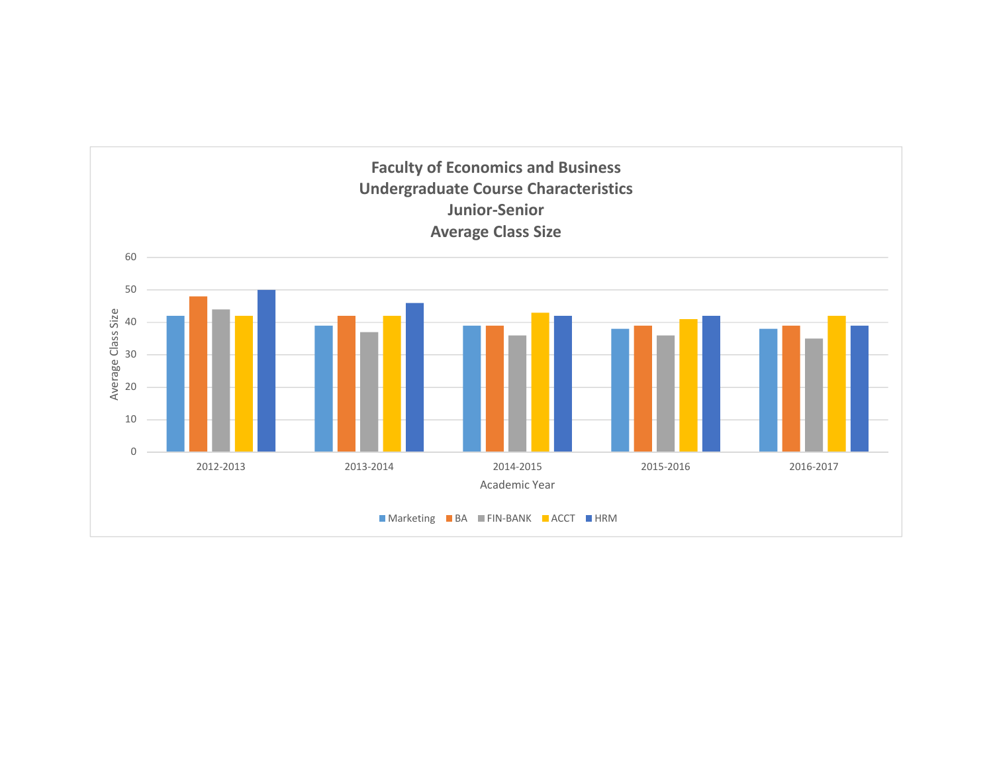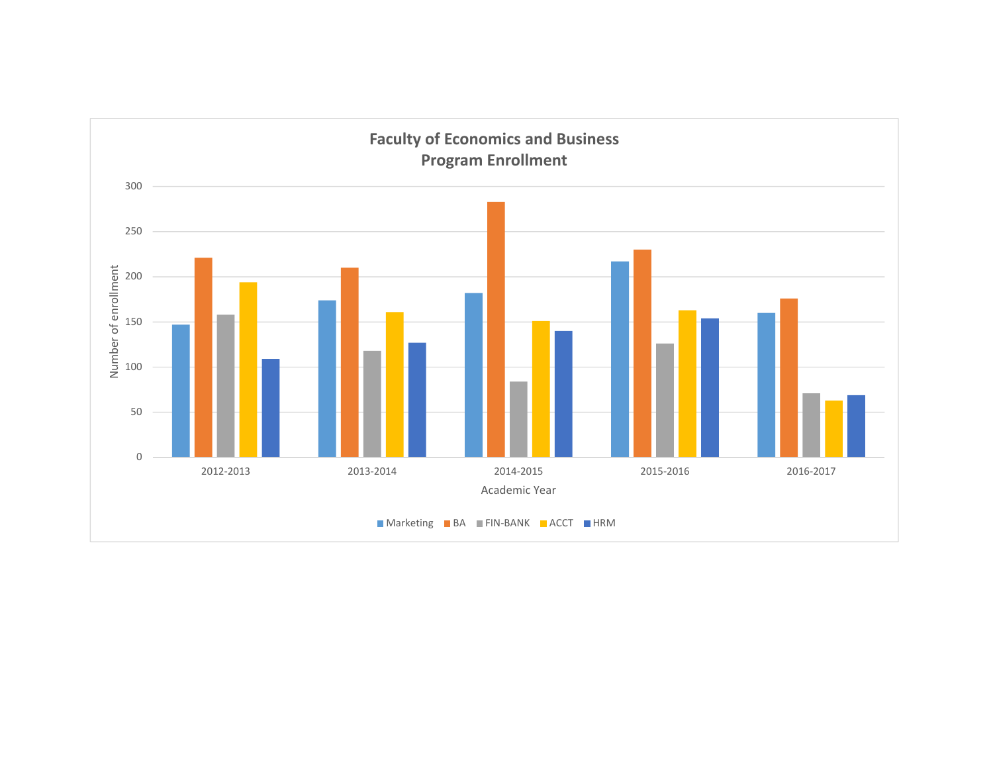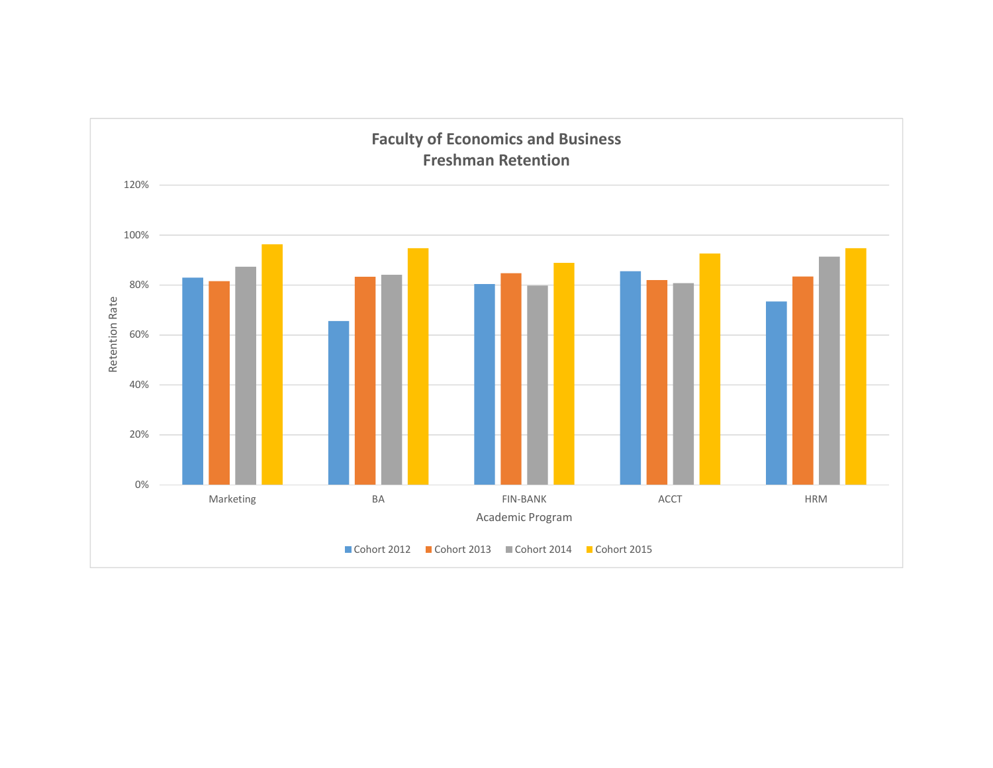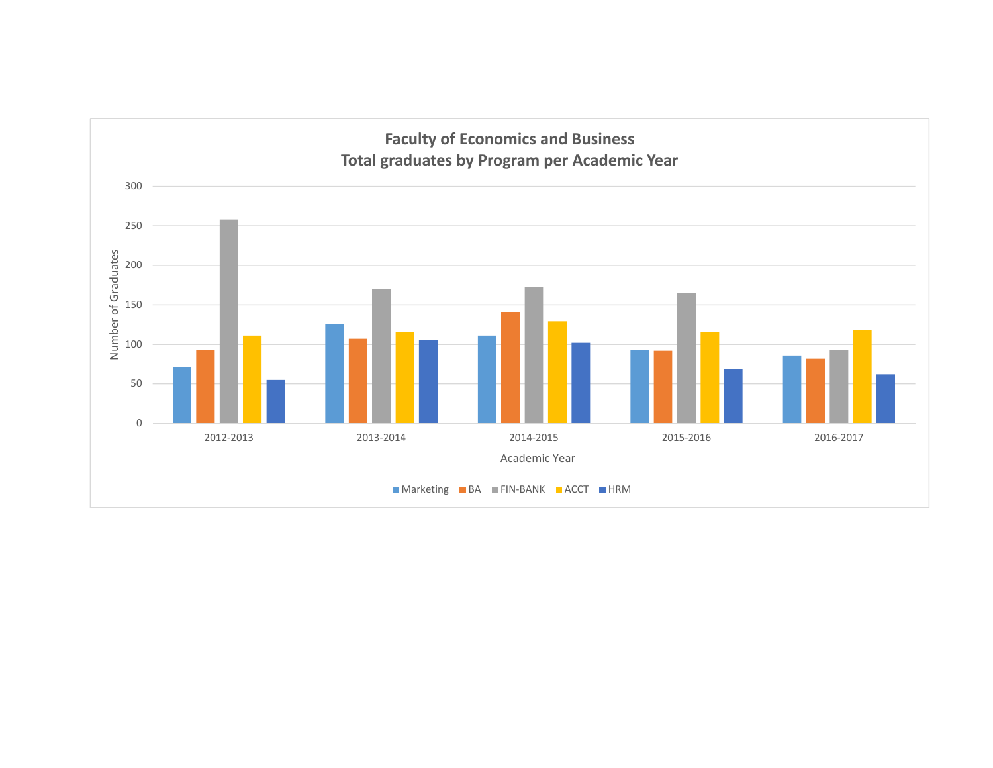